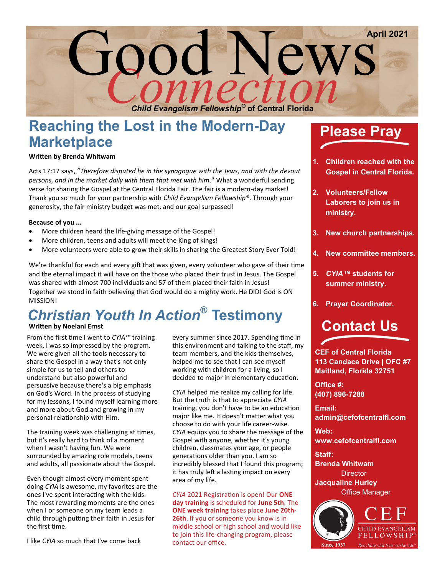

## **Reaching the Lost in the Modern-Day Marketplace**

### **Written by Brenda Whitwam**

Acts 17:17 says, "*Therefore disputed he in the synagogue with the Jews, and with the devout persons, and in the market daily with them that met with him*." What a wonderful sending verse for sharing the Gospel at the Central Florida Fair. The fair is a modern-day market! Thank you so much for your partnership with *Child Evangelism Fellowship®*. Through your generosity, the fair ministry budget was met, and our goal surpassed!

#### **Because of you ...**

- More children heard the life-giving message of the Gospel!
- More children, teens and adults will meet the King of kings!
- More volunteers were able to grow their skills in sharing the Greatest Story Ever Told!

We're thankful for each and every gift that was given, every volunteer who gave of their time and the eternal impact it will have on the those who placed their trust in Jesus. The Gospel was shared with almost 700 individuals and 57 of them placed their faith in Jesus! Together we stood in faith believing that God would do a mighty work. He DID! God is ON MISSION!

# *Christian Youth In Action***® Testimony**

### **Written by Noelani Ernst**

From the first time I went to *CYIA™* training week, I was so impressed by the program. We were given all the tools necessary to share the Gospel in a way that's not only simple for us to tell and others to understand but also powerful and persuasive because there's a big emphasis on God's Word. In the process of studying for my lessons, I found myself learning more and more about God and growing in my personal relationship with Him.

The training week was challenging at times, but it's really hard to think of a moment when I wasn't having fun. We were surrounded by amazing role models, teens and adults, all passionate about the Gospel.

Even though almost every moment spent doing *CYIA* is awesome, my favorites are the ones I've spent interacting with the kids. The most rewarding moments are the ones when I or someone on my team leads a child through putting their faith in Jesus for the first time.

I like *CYIA* so much that I've come back

every summer since 2017. Spending time in this environment and talking to the staff, my team members, and the kids themselves, helped me to see that I can see myself working with children for a living, so I decided to major in elementary education.

*CYIA* helped me realize my calling for life. But the truth is that to appreciate *CYIA* training, you don't have to be an education major like me. It doesn't matter what you choose to do with your life career-wise. *CYIA* equips you to share the message of the Gospel with anyone, whether it's young children, classmates your age, or people generations older than you. I am so incredibly blessed that I found this program; it has truly left a lasting impact on every area of my life.

*CYIA* 2021 Registration is open! Our **ONE day training** is scheduled for **June 5th**. The **ONE week training** takes place **June 20th-26th**. If you or someone you know is in middle school or high school and would like to join this life-changing program, please contact our office.

## **Please Pray**

- **1. Children reached with the Gospel in Central Florida.**
- **2. Volunteers/Fellow Laborers to join us in ministry.**
- **3. New church partnerships.**
- **4. New committee members.**
- **5.** *CYIA™* **students for summer ministry.**
- **6. Prayer Coordinator.**

# **Contact Us**

**CEF of Central Florida 113 Candace Drive | OFC #7 Maitland, Florida 32751** 

**Office #: (407) 896-7288**

**Email: admin@cefofcentralfl.com** 

**Web: www.cefofcentralfl.com**

**Staff: Brenda Whitwam** 

**Director Jacqualine Hurley**  Office Manager